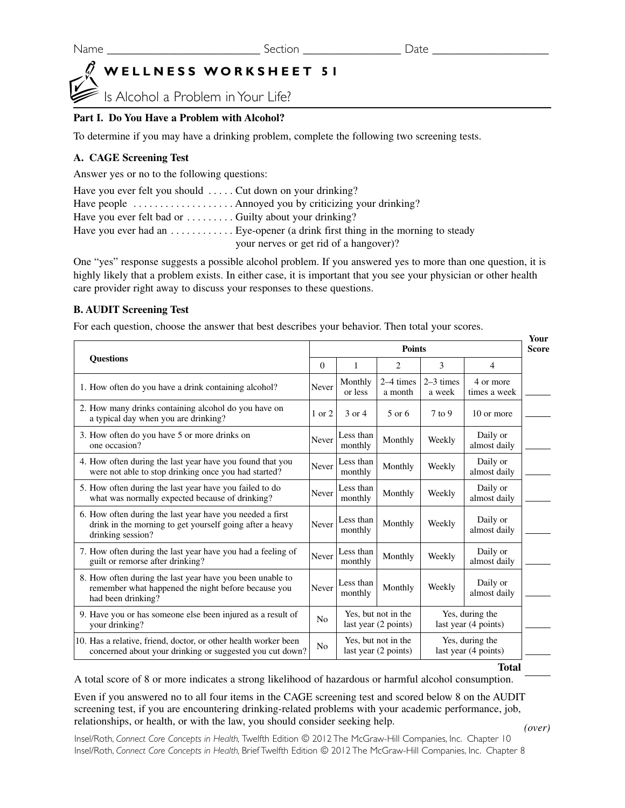# **WELLNESS WORKSHEET 51**

Is Alcohol a Problem in Your Life?

## **Part I. Do You Have a Problem with Alcohol?**

To determine if you may have a drinking problem, complete the following two screening tests.

## **A. CAGE Screening Test**

Answer yes or no to the following questions:

| Have you ever felt you should $\ldots$ . Cut down on your drinking? |                                        |
|---------------------------------------------------------------------|----------------------------------------|
|                                                                     |                                        |
| Have you ever felt bad or $\dots \dots$ Guilty about your drinking? |                                        |
|                                                                     |                                        |
|                                                                     | your nerves or get rid of a hangover)? |

One "yes" response suggests a possible alcohol problem. If you answered yes to more than one question, it is highly likely that a problem exists. In either case, it is important that you see your physician or other health care provider right away to discuss your responses to these questions.

### **B. AUDIT Screening Test**

For each question, choose the answer that best describes your behavior. Then total your scores.

| <b>Ouestions</b>                                                                                                                           |                                                               | <b>Points</b>                               |                                         |                                         |                           | Your<br><b>Score</b> |
|--------------------------------------------------------------------------------------------------------------------------------------------|---------------------------------------------------------------|---------------------------------------------|-----------------------------------------|-----------------------------------------|---------------------------|----------------------|
|                                                                                                                                            |                                                               | 1                                           | $\overline{c}$                          | 3                                       | $\overline{4}$            |                      |
| 1. How often do you have a drink containing alcohol?                                                                                       | Never                                                         | Monthly<br>or less                          | 2–4 times<br>a month                    | $2-3$ times<br>a week                   | 4 or more<br>times a week |                      |
| 2. How many drinks containing alcohol do you have on<br>a typical day when you are drinking?                                               | 1 or 2                                                        | 3 or 4                                      | 5 or 6                                  | $7$ to 9                                | 10 or more                |                      |
| 3. How often do you have 5 or more drinks on<br>one occasion?                                                                              | Never                                                         | Less than<br>monthly                        | Monthly                                 | Weekly                                  | Daily or<br>almost daily  |                      |
| 4. How often during the last year have you found that you<br>were not able to stop drinking once you had started?                          | Never                                                         | Less than<br>monthly                        | Monthly                                 | Weekly                                  | Daily or<br>almost daily  |                      |
| 5. How often during the last year have you failed to do<br>what was normally expected because of drinking?                                 | Never                                                         | Less than<br>monthly                        | Monthly                                 | Weekly                                  | Daily or<br>almost daily  |                      |
| 6. How often during the last year have you needed a first<br>drink in the morning to get yourself going after a heavy<br>drinking session? | Never                                                         | Less than<br>monthly                        | Monthly                                 | Weekly                                  | Daily or<br>almost daily  |                      |
| 7. How often during the last year have you had a feeling of<br>guilt or remorse after drinking?                                            | Never                                                         | Less than<br>monthly                        | Monthly                                 | Weekly                                  | Daily or<br>almost daily  |                      |
| 8. How often during the last year have you been unable to<br>remember what happened the night before because you<br>had been drinking?     | Never                                                         | Less than<br>monthly                        | Monthly                                 | Weekly                                  | Daily or<br>almost daily  |                      |
| 9. Have you or has someone else been injured as a result of<br>your drinking?                                                              | Yes, but not in the<br>N <sub>0</sub><br>last year (2 points) |                                             | Yes, during the<br>last year (4 points) |                                         |                           |                      |
| 10. Has a relative, friend, doctor, or other health worker been<br>concerned about your drinking or suggested you cut down?                |                                                               | Yes, but not in the<br>last year (2 points) |                                         | Yes, during the<br>last year (4 points) |                           |                      |

**Total**

A total score of 8 or more indicates a strong likelihood of hazardous or harmful alcohol consumption.

Even if you answered no to all four items in the CAGE screening test and scored below 8 on the AUDIT screening test, if you are encountering drinking-related problems with your academic performance, job, relationships, or health, or with the law, you should consider seeking help.

*(over)*

Insel/Roth, *Connect Core Concepts in Health,* Twelfth Edition © 2012 The McGraw-Hill Companies, Inc. Chapter 10 Insel/Roth, *Connect Core Concepts in Health,* Brief Twelfth Edition © 2012 The McGraw-Hill Companies, Inc. Chapter 8